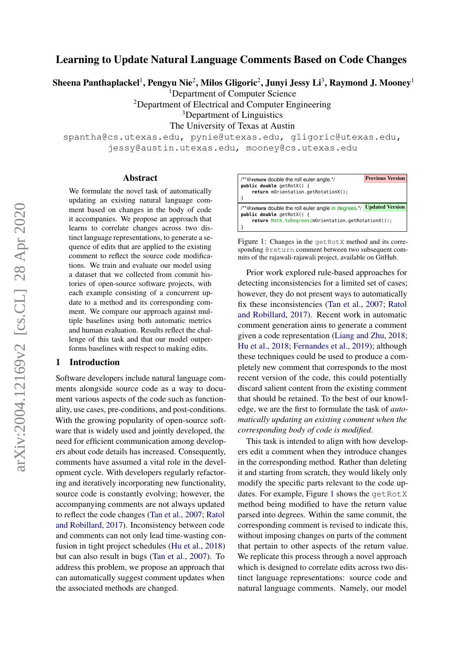# Learning to Update Natural Language Comments Based on Code Changes

Sheena Panthaplackel $^1$ , Pengyu Nie $^2$ , Milos Gligoric $^2$ , Junyi Jessy Li $^3$ , Raymond J. Mooney $^1$ 

<sup>1</sup>Department of Computer Science

<sup>2</sup>Department of Electrical and Computer Engineering

<sup>3</sup>Department of Linguistics

The University of Texas at Austin

spantha@cs.utexas.edu, pynie@utexas.edu, gligoric@utexas.edu, jessy@austin.utexas.edu, mooney@cs.utexas.edu

#### Abstract

We formulate the novel task of automatically updating an existing natural language comment based on changes in the body of code it accompanies. We propose an approach that learns to correlate changes across two distinct language representations, to generate a sequence of edits that are applied to the existing comment to reflect the source code modifications. We train and evaluate our model using a dataset that we collected from commit histories of open-source software projects, with each example consisting of a concurrent update to a method and its corresponding comment. We compare our approach against multiple baselines using both automatic metrics and human evaluation. Results reflect the challenge of this task and that our model outperforms baselines with respect to making edits.

#### 1 Introduction

Software developers include natural language comments alongside source code as a way to document various aspects of the code such as functionality, use cases, pre-conditions, and post-conditions. With the growing popularity of open-source software that is widely used and jointly developed, the need for efficient communication among developers about code details has increased. Consequently, comments have assumed a vital role in the development cycle. With developers regularly refactoring and iteratively incorporating new functionality, source code is constantly evolving; however, the accompanying comments are not always updated to reflect the code changes [\(Tan et al.,](#page-10-0) [2007;](#page-10-0) [Ratol](#page-10-1) [and Robillard,](#page-10-1) [2017\)](#page-10-1). Inconsistency between code and comments can not only lead time-wasting confusion in tight project schedules [\(Hu et al.,](#page-9-0) [2018\)](#page-9-0) but can also result in bugs [\(Tan et al.,](#page-10-0) [2007\)](#page-10-0). To address this problem, we propose an approach that can automatically suggest comment updates when the associated methods are changed.

<span id="page-0-0"></span>

| /**@return double the roll euler angle.*/                                                  | <b>Previous Version</b> |
|--------------------------------------------------------------------------------------------|-------------------------|
| public double $getRot(X() \{$                                                              |                         |
| return mOrientation.getRotationX();                                                        |                         |
|                                                                                            | <b>Updated Version</b>  |
| /**@return double the roll euler angle in degrees.*/<br><b>public double</b> $qetRotX()$ { |                         |
| return Math.toDegrees(mOrientation.getRotationX());                                        |                         |
|                                                                                            |                         |

Figure 1: Changes in the getRotX method and its corresponding @return comment between two subsequent commits of the rajawali-rajawali project, available on GitHub.

Prior work explored rule-based approaches for detecting inconsistencies for a limited set of cases; however, they do not present ways to automatically fix these inconsistencies [\(Tan et al.,](#page-10-0) [2007;](#page-10-0) [Ratol](#page-10-1) [and Robillard,](#page-10-1) [2017\)](#page-10-1). Recent work in automatic comment generation aims to generate a comment given a code representation [\(Liang and Zhu,](#page-9-1) [2018;](#page-9-1) [Hu et al.,](#page-9-0) [2018;](#page-9-0) [Fernandes et al.,](#page-9-2) [2019\)](#page-9-2); although these techniques could be used to produce a completely new comment that corresponds to the most recent version of the code, this could potentially discard salient content from the existing comment that should be retained. To the best of our knowledge, we are the first to formulate the task of *automatically updating an existing comment when the corresponding body of code is modified*.

This task is intended to align with how developers edit a comment when they introduce changes in the corresponding method. Rather than deleting it and starting from scratch, they would likely only modify the specific parts relevant to the code up-dates. For example, Figure [1](#page-0-0) shows the getRotX method being modified to have the return value parsed into degrees. Within the same commit, the corresponding comment is revised to indicate this, without imposing changes on parts of the comment that pertain to other aspects of the return value. We replicate this process through a novel approach which is designed to correlate edits across two distinct language representations: source code and natural language comments. Namely, our model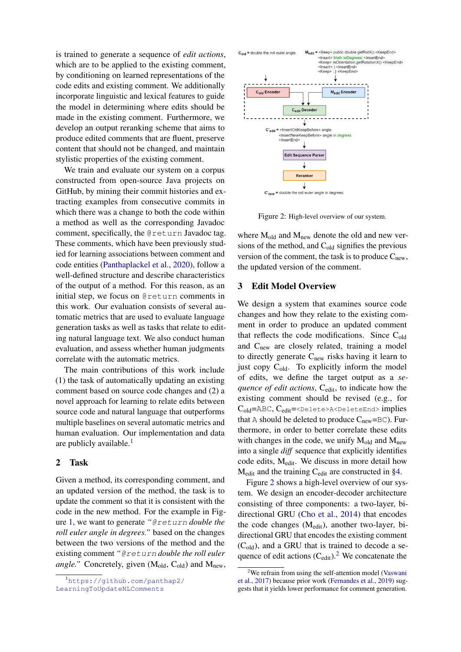is trained to generate a sequence of *edit actions*, which are to be applied to the existing comment. by conditioning on learned representations of the code edits and existing comment. We additionally incorporate linguistic and lexical features to guide the model in determining where edits should be made in the existing comment. Furthermore, we develop an output reranking scheme that aims to produce edited comments that are fluent, preserve content that should not be changed, and maintain stylistic properties of the existing comment.

We train and evaluate our system on a corpus constructed from open-source Java projects on GitHub, by mining their commit histories and extracting examples from consecutive commits in which there was a change to both the code within a method as well as the corresponding Javadoc comment, specifically, the @return Javadoc tag. These comments, which have been previously studied for learning associations between comment and code entities [\(Panthaplackel et al.,](#page-10-2) [2020\)](#page-10-2), follow a well-defined structure and describe characteristics of the output of a method. For this reason, as an initial step, we focus on @return comments in this work. Our evaluation consists of several automatic metrics that are used to evaluate language generation tasks as well as tasks that relate to editing natural language text. We also conduct human evaluation, and assess whether human judgments correlate with the automatic metrics.

The main contributions of this work include (1) the task of automatically updating an existing comment based on source code changes and (2) a novel approach for learning to relate edits between source code and natural language that outperforms multiple baselines on several automatic metrics and human evaluation. Our implementation and data are publicly available. $<sup>1</sup>$  $<sup>1</sup>$  $<sup>1</sup>$ </sup>

## 2 Task

Given a method, its corresponding comment, and an updated version of the method, the task is to update the comment so that it is consistent with the code in the new method. For the example in Figure [1,](#page-0-0) we want to generate *"*@return *double the roll euler angle in degrees."* based on the changes between the two versions of the method and the existing comment *"*@return *double the roll euler angle.*" Concretely, given  $(M_{old}, C_{old})$  and  $M_{new}$ ,

<span id="page-1-0"></span>

<span id="page-1-1"></span>

 $C'_{new}$  = double the roll euler angle in degrees

Figure 2: High-level overview of our system.

where  $M_{old}$  and  $M_{new}$  denote the old and new versions of the method, and  $C_{old}$  signifies the previous version of the comment, the task is to produce  $C_{\text{new}}$ , the updated version of the comment.

## <span id="page-1-3"></span>3 Edit Model Overview

We design a system that examines source code changes and how they relate to the existing comment in order to produce an updated comment that reflects the code modifications. Since  $C_{old}$ and C<sub>new</sub> are closely related, training a model to directly generate  $C_{\text{new}}$  risks having it learn to just copy  $C_{old}$ . To explicitly inform the model of edits, we define the target output as a *sequence of edit actions*, C<sub>edit</sub>, to indicate how the existing comment should be revised (e.g., for Cold=ABC, Cedit=<Delete>A<DeleteEnd> implies that A should be deleted to produce  $C_{\text{new}}=BC$ ). Furthermore, in order to better correlate these edits with changes in the code, we unify  $M_{old}$  and  $M_{new}$ into a single *diff* sequence that explicitly identifies code edits, Medit. We discuss in more detail how Medit and the training Cedit are constructed in [§4.](#page-2-0)

Figure [2](#page-1-1) shows a high-level overview of our system. We design an encoder-decoder architecture consisting of three components: a two-layer, bidirectional GRU [\(Cho et al.,](#page-9-3) [2014\)](#page-9-3) that encodes the code changes (Medit), another two-layer, bidirectional GRU that encodes the existing comment  $(C_{old})$ , and a GRU that is trained to decode a sequence of edit actions  $(C_{\text{edit}})^2$  $(C_{\text{edit}})^2$ . We concatenate the

<span id="page-1-2"></span> $2$ We refrain from using the self-attention model [\(Vaswani](#page-10-3) [et al.,](#page-10-3) [2017\)](#page-10-3) because prior work [\(Fernandes et al.,](#page-9-2) [2019\)](#page-9-2) suggests that it yields lower performance for comment generation.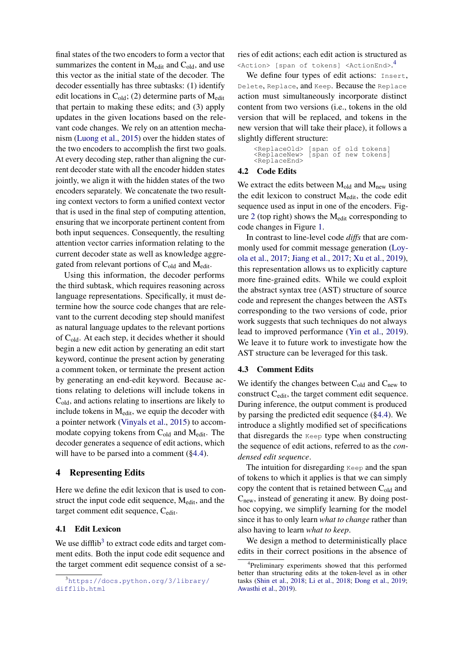final states of the two encoders to form a vector that summarizes the content in  $M_{edit}$  and  $C_{old}$ , and use this vector as the initial state of the decoder. The decoder essentially has three subtasks: (1) identify edit locations in  $C_{old}$ ; (2) determine parts of  $M_{edit}$ that pertain to making these edits; and (3) apply updates in the given locations based on the relevant code changes. We rely on an attention mechanism [\(Luong et al.,](#page-10-4) [2015\)](#page-10-4) over the hidden states of the two encoders to accomplish the first two goals. At every decoding step, rather than aligning the current decoder state with all the encoder hidden states jointly, we align it with the hidden states of the two encoders separately. We concatenate the two resulting context vectors to form a unified context vector that is used in the final step of computing attention, ensuring that we incorporate pertinent content from both input sequences. Consequently, the resulting attention vector carries information relating to the current decoder state as well as knowledge aggregated from relevant portions of  $C_{old}$  and  $M_{edit}$ .

Using this information, the decoder performs the third subtask, which requires reasoning across language representations. Specifically, it must determine how the source code changes that are relevant to the current decoding step should manifest as natural language updates to the relevant portions of  $C_{old}$ . At each step, it decides whether it should begin a new edit action by generating an edit start keyword, continue the present action by generating a comment token, or terminate the present action by generating an end-edit keyword. Because actions relating to deletions will include tokens in Cold, and actions relating to insertions are likely to include tokens in  $M_{edit}$ , we equip the decoder with a pointer network [\(Vinyals et al.,](#page-10-5) [2015\)](#page-10-5) to accommodate copying tokens from  $C_{old}$  and  $M_{edit}$ . The decoder generates a sequence of edit actions, which will have to be parsed into a comment  $(\S 4.4)$ .

## <span id="page-2-0"></span>4 Representing Edits

Here we define the edit lexicon that is used to construct the input code edit sequence,  $M_{edit}$ , and the target comment edit sequence, C<sub>edit</sub>.

# 4.1 Edit Lexicon

We use difflib<sup>[3](#page-2-1)</sup> to extract code edits and target comment edits. Both the input code edit sequence and the target comment edit sequence consist of a series of edit actions; each edit action is structured as <Action> [span of tokens] <ActionEnd>. [4](#page-2-2)

We define four types of edit actions: Insert, Delete, Replace, and Keep. Because the Replace action must simultaneously incorporate distinct content from two versions (i.e., tokens in the old version that will be replaced, and tokens in the new version that will take their place), it follows a slightly different structure:

<ReplaceOld> [span of old tokens] <ReplaceNew> [span of new tokens] <ReplaceOld><br><ReplaceNew><br><ReplaceEnd>

## 4.2 Code Edits

We extract the edits between  $M_{old}$  and  $M_{new}$  using the edit lexicon to construct Medit, the code edit sequence used as input in one of the encoders. Fig-ure [2](#page-1-1) (top right) shows the  $M_{\text{edit}}$  corresponding to code changes in Figure [1.](#page-0-0)

In contrast to line-level code *diffs* that are commonly used for commit message generation [\(Loy](#page-10-6)[ola et al.,](#page-10-6) [2017;](#page-10-6) [Jiang et al.,](#page-9-4) [2017;](#page-9-4) [Xu et al.,](#page-10-7) [2019\)](#page-10-7), this representation allows us to explicitly capture more fine-grained edits. While we could exploit the abstract syntax tree (AST) structure of source code and represent the changes between the ASTs corresponding to the two versions of code, prior work suggests that such techniques do not always lead to improved performance [\(Yin et al.,](#page-10-8) [2019\)](#page-10-8). We leave it to future work to investigate how the AST structure can be leveraged for this task.

## 4.3 Comment Edits

We identify the changes between  $C_{old}$  and  $C_{new}$  to construct Cedit, the target comment edit sequence. During inference, the output comment is produced by parsing the predicted edit sequence ([§4.4\)](#page-3-0). We introduce a slightly modified set of specifications that disregards the Keep type when constructing the sequence of edit actions, referred to as the *condensed edit sequence*.

The intuition for disregarding Keep and the span of tokens to which it applies is that we can simply copy the content that is retained between  $C_{old}$  and  $C<sub>new</sub>$ , instead of generating it anew. By doing posthoc copying, we simplify learning for the model since it has to only learn *what to change* rather than also having to learn *what to keep*.

We design a method to deterministically place edits in their correct positions in the absence of

<span id="page-2-1"></span> $3$ [https://docs.python.org/3/library/](https://docs.python.org/3/library/difflib.html) [difflib.html](https://docs.python.org/3/library/difflib.html)

<span id="page-2-2"></span><sup>4</sup> Preliminary experiments showed that this performed better than structuring edits at the token-level as in other tasks [\(Shin et al.,](#page-10-9) [2018;](#page-10-9) [Li et al.,](#page-9-5) [2018;](#page-9-5) [Dong et al.,](#page-9-6) [2019;](#page-9-6) [Awasthi et al.,](#page-9-7) [2019\)](#page-9-7).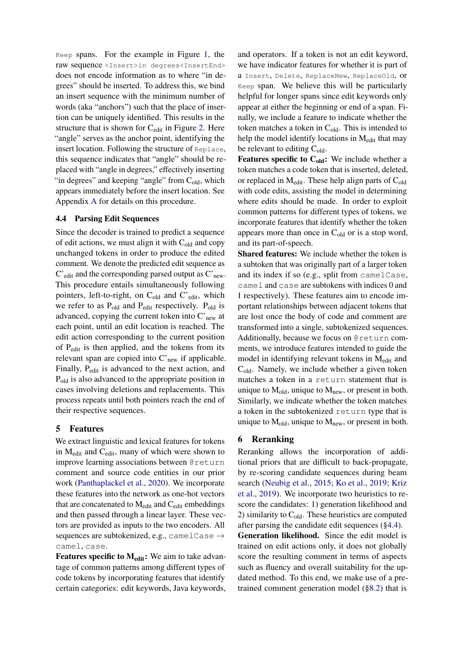Keep spans. For the example in Figure [1,](#page-0-0) the raw sequence <Insert>in degrees<InsertEnd> does not encode information as to where "in degrees" should be inserted. To address this, we bind an insert sequence with the minimum number of words (aka "anchors") such that the place of insertion can be uniquely identified. This results in the structure that is shown for C<sub>edit</sub> in Figure [2.](#page-1-1) Here "angle" serves as the anchor point, identifying the insert location. Following the structure of Replace, this sequence indicates that "angle" should be replaced with "angle in degrees," effectively inserting "in degrees" and keeping "angle" from  $C_{old}$ , which appears immediately before the insert location. See Appendix [A](#page-11-0) for details on this procedure.

## <span id="page-3-0"></span>4.4 Parsing Edit Sequences

Since the decoder is trained to predict a sequence of edit actions, we must align it with  $C_{old}$  and copy unchanged tokens in order to produce the edited comment. We denote the predicted edit sequence as C'edit and the corresponding parsed output as C'new. This procedure entails simultaneously following pointers, left-to-right, on  $C_{old}$  and  $C'_{edit}$ , which we refer to as  $P_{old}$  and  $P_{edit}$  respectively.  $P_{old}$  is advanced, copying the current token into  $C_{\text{new}}$  at each point, until an edit location is reached. The edit action corresponding to the current position of Pedit is then applied, and the tokens from its relevant span are copied into C'new if applicable. Finally, P<sub>edit</sub> is advanced to the next action, and Pold is also advanced to the appropriate position in cases involving deletions and replacements. This process repeats until both pointers reach the end of their respective sequences.

## <span id="page-3-2"></span>5 Features

We extract linguistic and lexical features for tokens in Medit and Cedit, many of which were shown to improve learning associations between @return comment and source code entities in our prior work [\(Panthaplackel et al.,](#page-10-2) [2020\)](#page-10-2). We incorporate these features into the network as one-hot vectors that are concatenated to M<sub>edit</sub> and C<sub>edit</sub> embeddings and then passed through a linear layer. These vectors are provided as inputs to the two encoders. All sequences are subtokenized, e.g., camelCase  $\rightarrow$ camel, case.

**Features specific to**  $M_{edit}$ **:** We aim to take advantage of common patterns among different types of code tokens by incorporating features that identify certain categories: edit keywords, Java keywords,

and operators. If a token is not an edit keyword, we have indicator features for whether it is part of a Insert, Delete, ReplaceNew, ReplaceOld, or Keep span. We believe this will be particularly helpful for longer spans since edit keywords only appear at either the beginning or end of a span. Finally, we include a feature to indicate whether the token matches a token in  $C_{old}$ . This is intended to help the model identify locations in  $M_{edit}$  that may be relevant to editing  $C_{old}$ .

**Features specific to**  $C_{old}$ **:** We include whether a token matches a code token that is inserted, deleted, or replaced in  $M_{edit}$ . These help align parts of  $C_{old}$ with code edits, assisting the model in determining where edits should be made. In order to exploit common patterns for different types of tokens, we incorporate features that identify whether the token appears more than once in  $C_{old}$  or is a stop word, and its part-of-speech.

Shared features: We include whether the token is a subtoken that was originally part of a larger token and its index if so (e.g., split from camelCase, camel and case are subtokens with indices 0 and 1 respectively). These features aim to encode important relationships between adjacent tokens that are lost once the body of code and comment are transformed into a single, subtokenized sequences. Additionally, because we focus on @return comments, we introduce features intended to guide the model in identifying relevant tokens in Medit and  $C_{old}$ . Namely, we include whether a given token matches a token in a return statement that is unique to  $M_{old}$ , unique to  $M_{new}$ , or present in both. Similarly, we indicate whether the token matches a token in the subtokenized return type that is unique to  $M_{old}$ , unique to  $M_{new}$ , or present in both.

## <span id="page-3-1"></span>6 Reranking

Reranking allows the incorporation of additional priors that are difficult to back-propagate, by re-scoring candidate sequences during beam search [\(Neubig et al.,](#page-10-10) [2015;](#page-10-10) [Ko et al.,](#page-9-8) [2019;](#page-9-8) [Kriz](#page-9-9) [et al.,](#page-9-9) [2019\)](#page-9-9). We incorporate two heuristics to rescore the candidates: 1) generation likelihood and 2) similarity to  $C_{old}$ . These heuristics are computed after parsing the candidate edit sequences ([§4.4\)](#page-3-0).

Generation likelihood. Since the edit model is trained on edit actions only, it does not globally score the resulting comment in terms of aspects such as fluency and overall suitability for the updated method. To this end, we make use of a pretrained comment generation model ([§8.2\)](#page-5-0) that is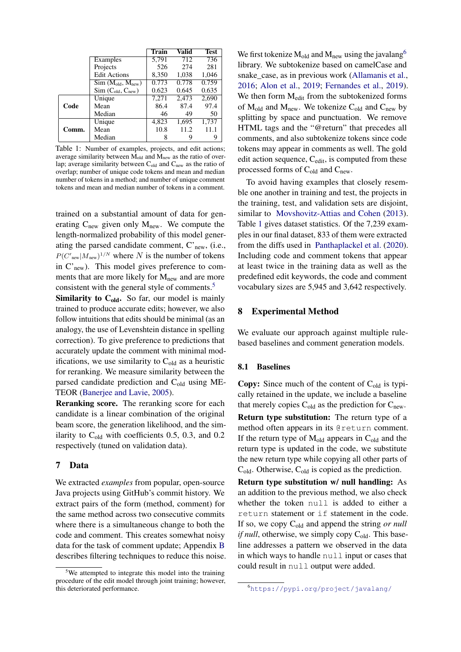<span id="page-4-2"></span>

|       |                          | Train | Valid | <b>Test</b> |
|-------|--------------------------|-------|-------|-------------|
|       | Examples                 | 5,791 | 712   | 736         |
|       | Projects                 | 526   | 274   | 281         |
|       | <b>Edit Actions</b>      | 8,350 | 1,038 | 1,046       |
|       | $Sim (M_{old}, M_{new})$ | 0.773 | 0.778 | 0.759       |
|       | $Sim(C_{old}, C_{new})$  | 0.623 | 0.645 | 0.635       |
|       | Unique                   | 7,271 | 2,473 | 2.690       |
| Code  | Mean                     | 86.4  | 87.4  | 97.4        |
|       | Median                   | 46    | 49    | 50          |
|       | Unique                   | 4,823 | 1,695 | 1,737       |
| Comm. | Mean                     | 10.8  | 11.2  | 11.1        |
|       | Median                   | 8     | 9     | 9           |

Table 1: Number of examples, projects, and edit actions; average similarity between M<sub>old</sub> and M<sub>new</sub> as the ratio of overlap; average similarity between  $C_{old}$  and  $C_{new}$  as the ratio of overlap; number of unique code tokens and mean and median number of tokens in a method; and number of unique comment tokens and mean and median number of tokens in a comment.

trained on a substantial amount of data for generating  $C_{\text{new}}$  given only  $M_{\text{new}}$ . We compute the length-normalized probability of this model generating the parsed candidate comment,  $C_{\text{new}}$ , (i.e.,  $P(C'_{\text{new}}|M_{\text{new}})^{1/N}$  where N is the number of tokens in  $C'_{\text{new}}$ ). This model gives preference to comments that are more likely for  $M<sub>new</sub>$  and are more consistent with the general style of comments.<sup>[5](#page-4-0)</sup>

**Similarity to**  $C_{old}$ **.** So far, our model is mainly trained to produce accurate edits; however, we also follow intuitions that edits should be minimal (as an analogy, the use of Levenshtein distance in spelling correction). To give preference to predictions that accurately update the comment with minimal modifications, we use similarity to  $C_{old}$  as a heuristic for reranking. We measure similarity between the parsed candidate prediction and Cold using ME-TEOR [\(Banerjee and Lavie,](#page-9-10) [2005\)](#page-9-10).

Reranking score. The reranking score for each candidate is a linear combination of the original beam score, the generation likelihood, and the similarity to  $C_{old}$  with coefficients 0.5, 0.3, and 0.2 respectively (tuned on validation data).

## <span id="page-4-3"></span>7 Data

We extracted *examples* from popular, open-source Java projects using GitHub's commit history. We extract pairs of the form (method, comment) for the same method across two consecutive commits where there is a simultaneous change to both the code and comment. This creates somewhat noisy data for the task of comment update; Appendix [B](#page-13-0) describes filtering techniques to reduce this noise. We first tokenize  $M_{old}$  and  $M_{new}$  using the javalang<sup>[6](#page-4-1)</sup> library. We subtokenize based on camelCase and snake case, as in previous work [\(Allamanis et al.,](#page-9-11) [2016;](#page-9-11) [Alon et al.,](#page-9-12) [2019;](#page-9-12) [Fernandes et al.,](#page-9-2) [2019\)](#page-9-2). We then form  $M_{edit}$  from the subtokenized forms of  $M_{old}$  and  $M_{new}$ . We tokenize  $C_{old}$  and  $C_{new}$  by splitting by space and punctuation. We remove HTML tags and the "@return" that precedes all comments, and also subtokenize tokens since code tokens may appear in comments as well. The gold edit action sequence,  $C_{edit}$ , is computed from these processed forms of  $C_{old}$  and  $C_{new}$ .

To avoid having examples that closely resemble one another in training and test, the projects in the training, test, and validation sets are disjoint, similar to [Movshovitz-Attias and Cohen](#page-10-11) [\(2013\)](#page-10-11). Table [1](#page-4-2) gives dataset statistics. Of the 7,239 examples in our final dataset, 833 of them were extracted from the diffs used in [Panthaplackel et al.](#page-10-2) [\(2020\)](#page-10-2). Including code and comment tokens that appear at least twice in the training data as well as the predefined edit keywords, the code and comment vocabulary sizes are 5,945 and 3,642 respectively.

## 8 Experimental Method

We evaluate our approach against multiple rulebased baselines and comment generation models.

#### 8.1 Baselines

**Copy:** Since much of the content of  $C_{old}$  is typically retained in the update, we include a baseline that merely copies  $C_{old}$  as the prediction for  $C_{new}$ . Return type substitution: The return type of a method often appears in its @return comment. If the return type of  $M_{old}$  appears in  $C_{old}$  and the return type is updated in the code, we substitute the new return type while copying all other parts of  $C_{old}$ . Otherwise,  $C_{old}$  is copied as the prediction.

Return type substitution w/ null handling: As an addition to the previous method, we also check whether the token null is added to either a return statement or if statement in the code. If so, we copy C<sub>old</sub> and append the string *or null if null*, otherwise, we simply copy  $C_{old}$ . This baseline addresses a pattern we observed in the data in which ways to handle null input or cases that could result in null output were added.

<span id="page-4-0"></span> $5$ We attempted to integrate this model into the training procedure of the edit model through joint training; however, this deteriorated performance.

<span id="page-4-1"></span><sup>6</sup><https://pypi.org/project/javalang/>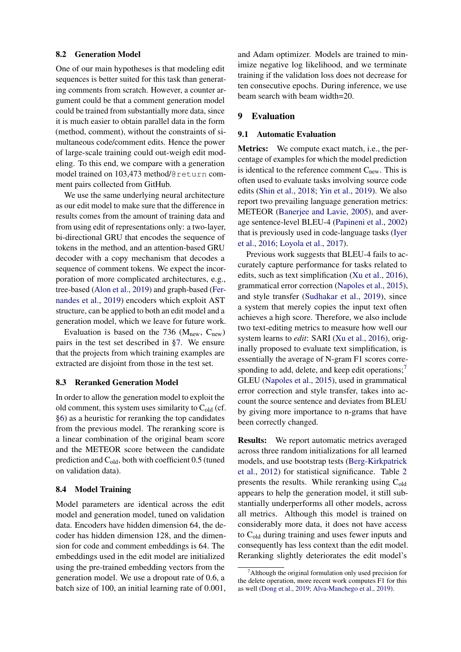#### <span id="page-5-0"></span>8.2 Generation Model

One of our main hypotheses is that modeling edit sequences is better suited for this task than generating comments from scratch. However, a counter argument could be that a comment generation model could be trained from substantially more data, since it is much easier to obtain parallel data in the form (method, comment), without the constraints of simultaneous code/comment edits. Hence the power of large-scale training could out-weigh edit modeling. To this end, we compare with a generation model trained on 103,473 method/@return comment pairs collected from GitHub.

We use the same underlying neural architecture as our edit model to make sure that the difference in results comes from the amount of training data and from using edit of representations only: a two-layer, bi-directional GRU that encodes the sequence of tokens in the method, and an attention-based GRU decoder with a copy mechanism that decodes a sequence of comment tokens. We expect the incorporation of more complicated architectures, e.g., tree-based [\(Alon et al.,](#page-9-12) [2019\)](#page-9-12) and graph-based [\(Fer](#page-9-2)[nandes et al.,](#page-9-2) [2019\)](#page-9-2) encoders which exploit AST structure, can be applied to both an edit model and a generation model, which we leave for future work.

Evaluation is based on the 736 ( $M_{\text{new}}$ ,  $C_{\text{new}}$ ) pairs in the test set described in [§7.](#page-4-3) We ensure that the projects from which training examples are extracted are disjoint from those in the test set.

#### 8.3 Reranked Generation Model

In order to allow the generation model to exploit the old comment, this system uses similarity to  $C_{old}$  (cf. [§6\)](#page-3-1) as a heuristic for reranking the top candidates from the previous model. The reranking score is a linear combination of the original beam score and the METEOR score between the candidate prediction and  $C_{old}$ , both with coefficient 0.5 (tuned on validation data).

#### 8.4 Model Training

Model parameters are identical across the edit model and generation model, tuned on validation data. Encoders have hidden dimension 64, the decoder has hidden dimension 128, and the dimension for code and comment embeddings is 64. The embeddings used in the edit model are initialized using the pre-trained embedding vectors from the generation model. We use a dropout rate of 0.6, a batch size of 100, an initial learning rate of 0.001, and Adam optimizer. Models are trained to minimize negative log likelihood, and we terminate training if the validation loss does not decrease for ten consecutive epochs. During inference, we use beam search with beam width=20.

## 9 Evaluation

#### 9.1 Automatic Evaluation

Metrics: We compute exact match, i.e., the percentage of examples for which the model prediction is identical to the reference comment  $C_{\text{new}}$ . This is often used to evaluate tasks involving source code edits [\(Shin et al.,](#page-10-9) [2018;](#page-10-9) [Yin et al.,](#page-10-8) [2019\)](#page-10-8). We also report two prevailing language generation metrics: METEOR [\(Banerjee and Lavie,](#page-9-10) [2005\)](#page-9-10), and average sentence-level BLEU-4 [\(Papineni et al.,](#page-10-12) [2002\)](#page-10-12) that is previously used in code-language tasks [\(Iyer](#page-9-13) [et al.,](#page-9-13) [2016;](#page-9-13) [Loyola et al.,](#page-10-6) [2017\)](#page-10-6).

Previous work suggests that BLEU-4 fails to accurately capture performance for tasks related to edits, such as text simplification [\(Xu et al.,](#page-10-13) [2016\)](#page-10-13), grammatical error correction [\(Napoles et al.,](#page-10-14) [2015\)](#page-10-14), and style transfer [\(Sudhakar et al.,](#page-10-15) [2019\)](#page-10-15), since a system that merely copies the input text often achieves a high score. Therefore, we also include two text-editing metrics to measure how well our system learns to *edit*: SARI [\(Xu et al.,](#page-10-13) [2016\)](#page-10-13), originally proposed to evaluate text simplification, is essentially the average of N-gram F1 scores corresponding to add, delete, and keep edit operations; $<sup>7</sup>$  $<sup>7</sup>$  $<sup>7</sup>$ </sup> GLEU [\(Napoles et al.,](#page-10-14) [2015\)](#page-10-14), used in grammatical error correction and style transfer, takes into account the source sentence and deviates from BLEU by giving more importance to n-grams that have been correctly changed.

Results: We report automatic metrics averaged across three random initializations for all learned models, and use bootstrap tests [\(Berg-Kirkpatrick](#page-9-14) [et al.,](#page-9-14) [2012\)](#page-9-14) for statistical significance. Table [2](#page-6-0) presents the results. While reranking using  $C_{old}$ appears to help the generation model, it still substantially underperforms all other models, across all metrics. Although this model is trained on considerably more data, it does not have access to Cold during training and uses fewer inputs and consequently has less context than the edit model. Reranking slightly deteriorates the edit model's

<span id="page-5-1"></span> $^7$ Although the original formulation only used precision for the delete operation, more recent work computes F1 for this as well [\(Dong et al.,](#page-9-6) [2019;](#page-9-6) [Alva-Manchego et al.,](#page-9-15) [2019\)](#page-9-15).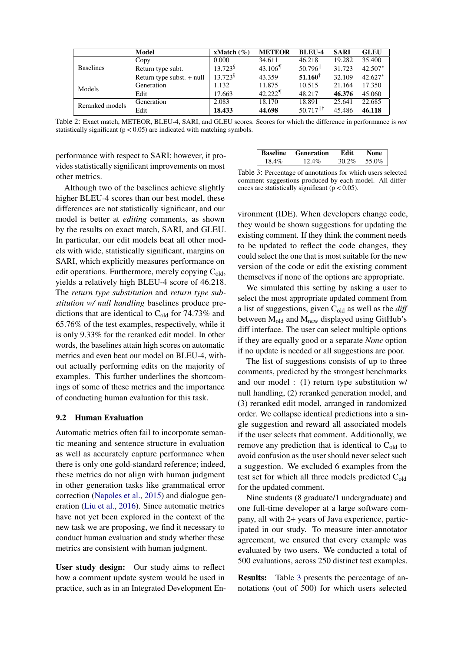<span id="page-6-0"></span>

|                  | Model                       | xMatch $(\% )$         | <b>METEOR</b>         | <b>BLEU-4</b>           | <b>SARI</b> | <b>GLEU</b> |
|------------------|-----------------------------|------------------------|-----------------------|-------------------------|-------------|-------------|
|                  | Copy                        | 0.000                  | 34.611                | 46.218                  | 19.282      | 35.400      |
| <b>Baselines</b> | Return type subt.           | $13.723^{\frac{5}{9}}$ | $43.106$ <sup>T</sup> | $50.796$ <sup>  </sup>  | 31.723      | 42.507*     |
|                  | Return type subst. $+$ null | $13.723^{\frac{6}{9}}$ | 43.359                | $51.160^{\dagger}$      | 32.109      | $42.627*$   |
| Models           | Generation                  | 1.132                  | 11.875                | 10.515                  | 21.164      | 17.350      |
|                  | Edit                        | 17.663                 | $42.222$ <sup>¶</sup> | 48.217                  | 46.376      | 45.060      |
| Reranked models  | Generation                  | 2.083                  | 18.170                | 18.891                  | 25.641      | 22.685      |
|                  | Edit                        | 18.433                 | 44.698                | $50.717$ <sup>  †</sup> | 45.486      | 46.118      |

Table 2: Exact match, METEOR, BLEU-4, SARI, and GLEU scores. Scores for which the difference in performance is *not* statistically significant ( $p < 0.05$ ) are indicated with matching symbols.

performance with respect to SARI; however, it provides statistically significant improvements on most other metrics.

<span id="page-6-1"></span>

| 30.2%<br>$2.4\%$<br>18.4%<br>`` | `aseline | <b>Generation</b> |  |
|---------------------------------|----------|-------------------|--|
|                                 |          |                   |  |

Although two of the baselines achieve slightly higher BLEU-4 scores than our best model, these differences are not statistically significant, and our model is better at *editing* comments, as shown by the results on exact match, SARI, and GLEU. In particular, our edit models beat all other models with wide, statistically significant, margins on SARI, which explicitly measures performance on edit operations. Furthermore, merely copying  $C_{old}$ , yields a relatively high BLEU-4 score of 46.218. The *return type substitution* and *return type substitution w/ null handling* baselines produce predictions that are identical to  $C_{old}$  for 74.73% and 65.76% of the test examples, respectively, while it is only 9.33% for the reranked edit model. In other words, the baselines attain high scores on automatic metrics and even beat our model on BLEU-4, without actually performing edits on the majority of examples. This further underlines the shortcomings of some of these metrics and the importance of conducting human evaluation for this task.

#### 9.2 Human Evaluation

Automatic metrics often fail to incorporate semantic meaning and sentence structure in evaluation as well as accurately capture performance when there is only one gold-standard reference; indeed, these metrics do not align with human judgment in other generation tasks like grammatical error correction [\(Napoles et al.,](#page-10-14) [2015\)](#page-10-14) and dialogue generation [\(Liu et al.,](#page-9-16) [2016\)](#page-9-16). Since automatic metrics have not yet been explored in the context of the new task we are proposing, we find it necessary to conduct human evaluation and study whether these metrics are consistent with human judgment.

User study design: Our study aims to reflect how a comment update system would be used in practice, such as in an Integrated Development En-

Table 3: Percentage of annotations for which users selected comment suggestions produced by each model. All differences are statistically significant ( $p < 0.05$ ).

vironment (IDE). When developers change code, they would be shown suggestions for updating the existing comment. If they think the comment needs to be updated to reflect the code changes, they could select the one that is most suitable for the new version of the code or edit the existing comment themselves if none of the options are appropriate.

We simulated this setting by asking a user to select the most appropriate updated comment from a list of suggestions, given Cold as well as the *diff* between  $M_{old}$  and  $M_{new}$  displayed using GitHub's diff interface. The user can select multiple options if they are equally good or a separate *None* option if no update is needed or all suggestions are poor.

The list of suggestions consists of up to three comments, predicted by the strongest benchmarks and our model : (1) return type substitution w/ null handling, (2) reranked generation model, and (3) reranked edit model, arranged in randomized order. We collapse identical predictions into a single suggestion and reward all associated models if the user selects that comment. Additionally, we remove any prediction that is identical to  $C_{old}$  to avoid confusion as the user should never select such a suggestion. We excluded 6 examples from the test set for which all three models predicted C<sub>old</sub> for the updated comment.

Nine students (8 graduate/1 undergraduate) and one full-time developer at a large software company, all with 2+ years of Java experience, participated in our study. To measure inter-annotator agreement, we ensured that every example was evaluated by two users. We conducted a total of 500 evaluations, across 250 distinct test examples.

Results: Table [3](#page-6-1) presents the percentage of annotations (out of 500) for which users selected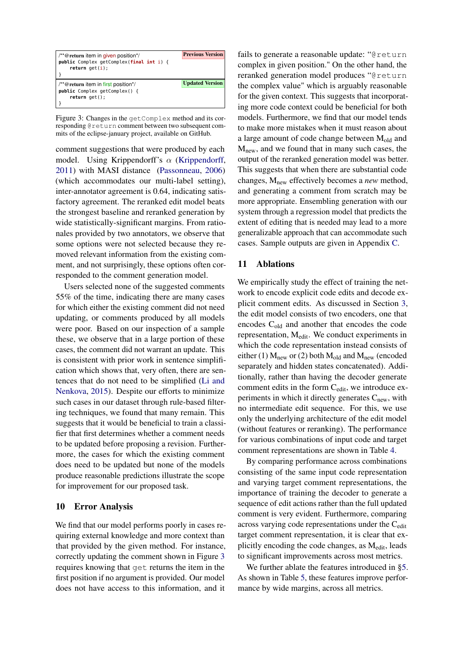<span id="page-7-0"></span>

| $/*$ @ return item in given position <sup>*</sup> /        | <b>Previous Version</b> |
|------------------------------------------------------------|-------------------------|
| public Complex getComplex(final int i) {<br>return get(i); |                         |
|                                                            |                         |
| /**@return item in first position*/                        | <b>Updated Version</b>  |
| <b>public</b> Complex getComplex() {                       |                         |
| $return get()$ ;                                           |                         |

Figure 3: Changes in the getComplex method and its corresponding @return comment between two subsequent commits of the eclipse-january project, available on GitHub.

comment suggestions that were produced by each model. Using Krippendorff's  $\alpha$  [\(Krippendorff,](#page-9-17) [2011\)](#page-9-17) with MASI distance [\(Passonneau,](#page-10-16) [2006\)](#page-10-16) (which accommodates our multi-label setting), inter-annotator agreement is 0.64, indicating satisfactory agreement. The reranked edit model beats the strongest baseline and reranked generation by wide statistically-significant margins. From rationales provided by two annotators, we observe that some options were not selected because they removed relevant information from the existing comment, and not surprisingly, these options often corresponded to the comment generation model.

Users selected none of the suggested comments 55% of the time, indicating there are many cases for which either the existing comment did not need updating, or comments produced by all models were poor. Based on our inspection of a sample these, we observe that in a large portion of these cases, the comment did not warrant an update. This is consistent with prior work in sentence simplification which shows that, very often, there are sentences that do not need to be simplified [\(Li and](#page-9-18) [Nenkova,](#page-9-18) [2015\)](#page-9-18). Despite our efforts to minimize such cases in our dataset through rule-based filtering techniques, we found that many remain. This suggests that it would be beneficial to train a classifier that first determines whether a comment needs to be updated before proposing a revision. Furthermore, the cases for which the existing comment does need to be updated but none of the models produce reasonable predictions illustrate the scope for improvement for our proposed task.

## 10 Error Analysis

We find that our model performs poorly in cases requiring external knowledge and more context than that provided by the given method. For instance, correctly updating the comment shown in Figure [3](#page-7-0) requires knowing that get returns the item in the first position if no argument is provided. Our model does not have access to this information, and it

fails to generate a reasonable update: "@return complex in given position." On the other hand, the reranked generation model produces "@return the complex value" which is arguably reasonable for the given context. This suggests that incorporating more code context could be beneficial for both models. Furthermore, we find that our model tends to make more mistakes when it must reason about a large amount of code change between  $M_{old}$  and  $M<sub>new</sub>$ , and we found that in many such cases, the output of the reranked generation model was better. This suggests that when there are substantial code changes, Mnew effectively becomes a *new* method, and generating a comment from scratch may be more appropriate. Ensembling generation with our system through a regression model that predicts the extent of editing that is needed may lead to a more generalizable approach that can accommodate such cases. Sample outputs are given in Appendix [C.](#page-14-0)

## 11 Ablations

We empirically study the effect of training the network to encode explicit code edits and decode explicit comment edits. As discussed in Section [3,](#page-1-3) the edit model consists of two encoders, one that encodes Cold and another that encodes the code representation, Medit. We conduct experiments in which the code representation instead consists of either (1)  $M_{\text{new}}$  or (2) both  $M_{\text{old}}$  and  $M_{\text{new}}$  (encoded separately and hidden states concatenated). Additionally, rather than having the decoder generate comment edits in the form C<sub>edit</sub>, we introduce experiments in which it directly generates  $C<sub>new</sub>$ , with no intermediate edit sequence. For this, we use only the underlying architecture of the edit model (without features or reranking). The performance for various combinations of input code and target comment representations are shown in Table [4.](#page-8-0)

By comparing performance across combinations consisting of the same input code representation and varying target comment representations, the importance of training the decoder to generate a sequence of edit actions rather than the full updated comment is very evident. Furthermore, comparing across varying code representations under the Cedit target comment representation, it is clear that explicitly encoding the code changes, as M<sub>edit</sub>, leads to significant improvements across most metrics.

We further ablate the features introduced in [§5.](#page-3-2) As shown in Table [5,](#page-8-1) these features improve performance by wide margins, across all metrics.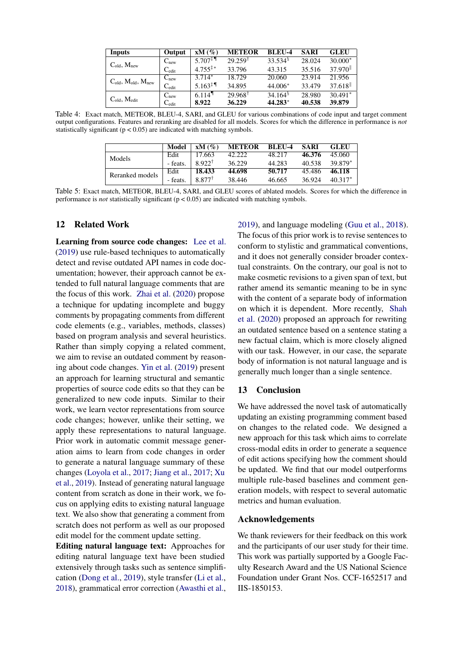<span id="page-8-0"></span>

| Inputs                            | Output                       | $xM(\%)$                           | <b>METEOR</b>      | BLEU-4              | <b>SARI</b> | GLEU                   |
|-----------------------------------|------------------------------|------------------------------------|--------------------|---------------------|-------------|------------------------|
| $C_{old}$ , $M_{new}$             | $C_{\text{new}}$             | 5.707 <sup><math>\pm</math>¶</sup> | $29.259^{\dagger}$ | $33.534^8$          | 28.024      | $30.000*$              |
|                                   | $\mathrm{C}_{\mathrm{edit}}$ | $4.755^{\ddagger*}$                | 33.796             | 43.315              | 35.516      | $37.970$ <sup>  </sup> |
| $C_{old}$ , $M_{old}$ , $M_{new}$ | $C_{\text{new}}$             | $3.714*$                           | 18.729             | 20.060              | 23.914      | 21.956                 |
|                                   | $\mathrm{C}_{\mathrm{edit}}$ | $5.163^{\ddagger}$                 | 34.895             | $44.006*$           | 33.479      | $37.618$ <sup>[]</sup> |
|                                   | $\mathrm{C}_{\mathrm{new}}$  | $6.114$ <sup>1</sup>               | $29.968^{\dagger}$ | 34.164 <sup>8</sup> | 28.980      | $30.491*$              |
| $C_{old}$ , M <sub>edit</sub>     | $\mathrm{C_{edit}}$          | 8.922                              | 36.229             | 44.283*             | 40.538      | 39.879                 |

<span id="page-8-1"></span>Table 4: Exact match, METEOR, BLEU-4, SARI, and GLEU for various combinations of code input and target comment output configurations. Features and reranking are disabled for all models. Scores for which the difference in performance is *not* statistically significant  $(p < 0.05)$  are indicated with matching symbols.

|                 | Model    | xM(%)              | <b>METEOR</b> | BLEU-4 | SARI   | <b>GLEU</b> |
|-----------------|----------|--------------------|---------------|--------|--------|-------------|
| Models          | Edit     | 17.663             | 42.222        | 48.217 | 46.376 | 45.060      |
|                 | - feats. | 8.922 <sup>†</sup> | 36.229        | 44.283 | 40.538 | 39 879*     |
| Reranked models | Edit     | 18.433             | 44.698        | 50.717 | 45.486 | 46.118      |
|                 | - feats. | 8.877              | 38.446        | 46.665 | 36.924 | $40.317*$   |

Table 5: Exact match, METEOR, BLEU-4, SARI, and GLEU scores of ablated models. Scores for which the difference in performance is *not* statistically significant (p < 0.05) are indicated with matching symbols.

## 12 Related Work

Learning from source code changes: [Lee et al.](#page-9-19) [\(2019\)](#page-9-19) use rule-based techniques to automatically detect and revise outdated API names in code documentation; however, their approach cannot be extended to full natural language comments that are the focus of this work. [Zhai et al.](#page-10-17) [\(2020\)](#page-10-17) propose a technique for updating incomplete and buggy comments by propagating comments from different code elements (e.g., variables, methods, classes) based on program analysis and several heuristics. Rather than simply copying a related comment, we aim to revise an outdated comment by reasoning about code changes. [Yin et al.](#page-10-8) [\(2019\)](#page-10-8) present an approach for learning structural and semantic properties of source code edits so that they can be generalized to new code inputs. Similar to their work, we learn vector representations from source code changes; however, unlike their setting, we apply these representations to natural language. Prior work in automatic commit message generation aims to learn from code changes in order to generate a natural language summary of these changes [\(Loyola et al.,](#page-10-6) [2017;](#page-10-6) [Jiang et al.,](#page-9-4) [2017;](#page-9-4) [Xu](#page-10-7) [et al.,](#page-10-7) [2019\)](#page-10-7). Instead of generating natural language content from scratch as done in their work, we focus on applying edits to existing natural language text. We also show that generating a comment from scratch does not perform as well as our proposed edit model for the comment update setting.

Editing natural language text: Approaches for editing natural language text have been studied extensively through tasks such as sentence simplification [\(Dong et al.,](#page-9-6) [2019\)](#page-9-6), style transfer [\(Li et al.,](#page-9-5) [2018\)](#page-9-5), grammatical error correction [\(Awasthi et al.,](#page-9-7) [2019\)](#page-9-7), and language modeling [\(Guu et al.,](#page-9-20) [2018\)](#page-9-20). The focus of this prior work is to revise sentences to conform to stylistic and grammatical conventions, and it does not generally consider broader contextual constraints. On the contrary, our goal is not to make cosmetic revisions to a given span of text, but rather amend its semantic meaning to be in sync with the content of a separate body of information on which it is dependent. More recently, [Shah](#page-10-18) [et al.](#page-10-18) [\(2020\)](#page-10-18) proposed an approach for rewriting an outdated sentence based on a sentence stating a new factual claim, which is more closely aligned with our task. However, in our case, the separate body of information is not natural language and is generally much longer than a single sentence.

## 13 Conclusion

We have addressed the novel task of automatically updating an existing programming comment based on changes to the related code. We designed a new approach for this task which aims to correlate cross-modal edits in order to generate a sequence of edit actions specifying how the comment should be updated. We find that our model outperforms multiple rule-based baselines and comment generation models, with respect to several automatic metrics and human evaluation.

## Acknowledgements

We thank reviewers for their feedback on this work and the participants of our user study for their time. This work was partially supported by a Google Faculty Research Award and the US National Science Foundation under Grant Nos. CCF-1652517 and IIS-1850153.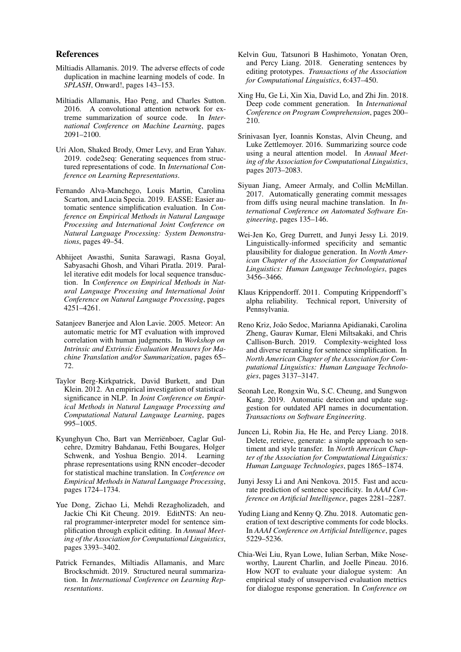#### References

- <span id="page-9-21"></span>Miltiadis Allamanis. 2019. The adverse effects of code duplication in machine learning models of code. In *SPLASH*, Onward!, pages 143–153.
- <span id="page-9-11"></span>Miltiadis Allamanis, Hao Peng, and Charles Sutton. 2016. A convolutional attention network for extreme summarization of source code. In *International Conference on Machine Learning*, pages 2091–2100.
- <span id="page-9-12"></span>Uri Alon, Shaked Brody, Omer Levy, and Eran Yahav. 2019. code2seq: Generating sequences from structured representations of code. In *International Conference on Learning Representations*.
- <span id="page-9-15"></span>Fernando Alva-Manchego, Louis Martin, Carolina Scarton, and Lucia Specia. 2019. EASSE: Easier automatic sentence simplification evaluation. In *Conference on Empirical Methods in Natural Language Processing and International Joint Conference on Natural Language Processing: System Demonstrations*, pages 49–54.
- <span id="page-9-7"></span>Abhijeet Awasthi, Sunita Sarawagi, Rasna Goyal, Sabyasachi Ghosh, and Vihari Piratla. 2019. Parallel iterative edit models for local sequence transduction. In *Conference on Empirical Methods in Natural Language Processing and International Joint Conference on Natural Language Processing*, pages 4251–4261.
- <span id="page-9-10"></span>Satanjeev Banerjee and Alon Lavie. 2005. Meteor: An automatic metric for MT evaluation with improved correlation with human judgments. In *Workshop on Intrinsic and Extrinsic Evaluation Measures for Machine Translation and/or Summarization*, pages 65– 72.
- <span id="page-9-14"></span>Taylor Berg-Kirkpatrick, David Burkett, and Dan Klein. 2012. An empirical investigation of statistical significance in NLP. In *Joint Conference on Empirical Methods in Natural Language Processing and Computational Natural Language Learning*, pages 995–1005.
- <span id="page-9-3"></span>Kyunghyun Cho, Bart van Merriënboer, Caglar Gulcehre, Dzmitry Bahdanau, Fethi Bougares, Holger Schwenk, and Yoshua Bengio. 2014. Learning phrase representations using RNN encoder–decoder for statistical machine translation. In *Conference on Empirical Methods in Natural Language Processing*, pages 1724–1734.
- <span id="page-9-6"></span>Yue Dong, Zichao Li, Mehdi Rezagholizadeh, and Jackie Chi Kit Cheung. 2019. EditNTS: An neural programmer-interpreter model for sentence simplification through explicit editing. In *Annual Meeting of the Association for Computational Linguistics*, pages 3393–3402.
- <span id="page-9-2"></span>Patrick Fernandes, Miltiadis Allamanis, and Marc Brockschmidt. 2019. Structured neural summarization. In *International Conference on Learning Representations*.
- <span id="page-9-20"></span>Kelvin Guu, Tatsunori B Hashimoto, Yonatan Oren, and Percy Liang. 2018. Generating sentences by editing prototypes. *Transactions of the Association for Computational Linguistics*, 6:437–450.
- <span id="page-9-0"></span>Xing Hu, Ge Li, Xin Xia, David Lo, and Zhi Jin. 2018. Deep code comment generation. In *International Conference on Program Comprehension*, pages 200– 210.
- <span id="page-9-13"></span>Srinivasan Iyer, Ioannis Konstas, Alvin Cheung, and Luke Zettlemoyer. 2016. Summarizing source code using a neural attention model. In *Annual Meeting of the Association for Computational Linguistics*, pages 2073–2083.
- <span id="page-9-4"></span>Siyuan Jiang, Ameer Armaly, and Collin McMillan. 2017. Automatically generating commit messages from diffs using neural machine translation. In *International Conference on Automated Software Engineering*, pages 135–146.
- <span id="page-9-8"></span>Wei-Jen Ko, Greg Durrett, and Junyi Jessy Li. 2019. Linguistically-informed specificity and semantic plausibility for dialogue generation. In *North American Chapter of the Association for Computational Linguistics: Human Language Technologies*, pages 3456–3466.
- <span id="page-9-17"></span>Klaus Krippendorff. 2011. Computing Krippendorff's alpha reliability. Technical report, University of Pennsylvania.
- <span id="page-9-9"></span>Reno Kriz, João Sedoc, Marianna Apidianaki, Carolina Zheng, Gaurav Kumar, Eleni Miltsakaki, and Chris Callison-Burch. 2019. Complexity-weighted loss and diverse reranking for sentence simplification. In *North American Chapter of the Association for Computational Linguistics: Human Language Technologies*, pages 3137–3147.
- <span id="page-9-19"></span>Seonah Lee, Rongxin Wu, S.C. Cheung, and Sungwon Kang. 2019. Automatic detection and update suggestion for outdated API names in documentation. *Transactions on Software Engineering*.
- <span id="page-9-5"></span>Juncen Li, Robin Jia, He He, and Percy Liang. 2018. Delete, retrieve, generate: a simple approach to sentiment and style transfer. In *North American Chapter of the Association for Computational Linguistics: Human Language Technologies*, pages 1865–1874.
- <span id="page-9-18"></span>Junyi Jessy Li and Ani Nenkova. 2015. Fast and accurate prediction of sentence specificity. In *AAAI Conference on Artificial Intelligence*, pages 2281–2287.
- <span id="page-9-1"></span>Yuding Liang and Kenny Q. Zhu. 2018. Automatic generation of text descriptive comments for code blocks. In *AAAI Conference on Artificial Intelligence*, pages 5229–5236.
- <span id="page-9-16"></span>Chia-Wei Liu, Ryan Lowe, Iulian Serban, Mike Noseworthy, Laurent Charlin, and Joelle Pineau. 2016. How NOT to evaluate your dialogue system: An empirical study of unsupervised evaluation metrics for dialogue response generation. In *Conference on*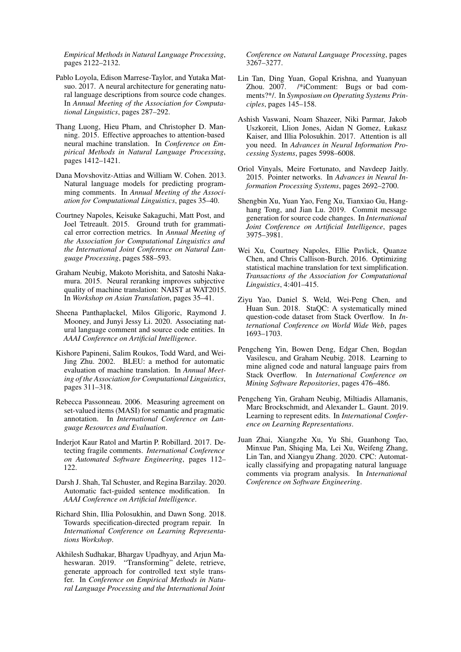*Empirical Methods in Natural Language Processing*, pages 2122–2132.

- <span id="page-10-6"></span>Pablo Loyola, Edison Marrese-Taylor, and Yutaka Matsuo. 2017. A neural architecture for generating natural language descriptions from source code changes. In *Annual Meeting of the Association for Computational Linguistics*, pages 287–292.
- <span id="page-10-4"></span>Thang Luong, Hieu Pham, and Christopher D. Manning. 2015. Effective approaches to attention-based neural machine translation. In *Conference on Empirical Methods in Natural Language Processing*, pages 1412–1421.
- <span id="page-10-11"></span>Dana Movshovitz-Attias and William W. Cohen. 2013. Natural language models for predicting programming comments. In *Annual Meeting of the Association for Computational Linguistics*, pages 35–40.
- <span id="page-10-14"></span>Courtney Napoles, Keisuke Sakaguchi, Matt Post, and Joel Tetreault. 2015. Ground truth for grammatical error correction metrics. In *Annual Meeting of the Association for Computational Linguistics and the International Joint Conference on Natural Language Processing*, pages 588–593.
- <span id="page-10-10"></span>Graham Neubig, Makoto Morishita, and Satoshi Nakamura. 2015. Neural reranking improves subjective quality of machine translation: NAIST at WAT2015. In *Workshop on Asian Translation*, pages 35–41.
- <span id="page-10-2"></span>Sheena Panthaplackel, Milos Gligoric, Raymond J. Mooney, and Junyi Jessy Li. 2020. Associating natural language comment and source code entities. In *AAAI Conference on Artificial Intelligence*.
- <span id="page-10-12"></span>Kishore Papineni, Salim Roukos, Todd Ward, and Wei-Jing Zhu. 2002. BLEU: a method for automatic evaluation of machine translation. In *Annual Meeting of the Association for Computational Linguistics*, pages 311–318.
- <span id="page-10-16"></span>Rebecca Passonneau. 2006. Measuring agreement on set-valued items (MASI) for semantic and pragmatic annotation. In *International Conference on Language Resources and Evaluation*.
- <span id="page-10-1"></span>Inderjot Kaur Ratol and Martin P. Robillard. 2017. Detecting fragile comments. *International Conference on Automated Software Engineering*, pages 112– 122.
- <span id="page-10-18"></span>Darsh J. Shah, Tal Schuster, and Regina Barzilay. 2020. Automatic fact-guided sentence modification. In *AAAI Conference on Artificial Intelligence*.
- <span id="page-10-9"></span>Richard Shin, Illia Polosukhin, and Dawn Song. 2018. Towards specification-directed program repair. In *International Conference on Learning Representations Workshop*.
- <span id="page-10-15"></span>Akhilesh Sudhakar, Bhargav Upadhyay, and Arjun Maheswaran. 2019. "Transforming" delete, retrieve, generate approach for controlled text style transfer. In *Conference on Empirical Methods in Natural Language Processing and the International Joint*

*Conference on Natural Language Processing*, pages 3267–3277.

- <span id="page-10-0"></span>Lin Tan, Ding Yuan, Gopal Krishna, and Yuanyuan Zhou. 2007. /\*iComment: Bugs or bad comments?\*/. In *Symposium on Operating Systems Principles*, pages 145–158.
- <span id="page-10-3"></span>Ashish Vaswani, Noam Shazeer, Niki Parmar, Jakob Uszkoreit, Llion Jones, Aidan N Gomez, Łukasz Kaiser, and Illia Polosukhin. 2017. Attention is all you need. In *Advances in Neural Information Processing Systems*, pages 5998–6008.
- <span id="page-10-5"></span>Oriol Vinyals, Meire Fortunato, and Navdeep Jaitly. 2015. Pointer networks. In *Advances in Neural Information Processing Systems*, pages 2692–2700.
- <span id="page-10-7"></span>Shengbin Xu, Yuan Yao, Feng Xu, Tianxiao Gu, Hanghang Tong, and Jian Lu. 2019. Commit message generation for source code changes. In *International Joint Conference on Artificial Intelligence*, pages 3975–3981.
- <span id="page-10-13"></span>Wei Xu, Courtney Napoles, Ellie Pavlick, Quanze Chen, and Chris Callison-Burch. 2016. Optimizing statistical machine translation for text simplification. *Transactions of the Association for Computational Linguistics*, 4:401–415.
- <span id="page-10-20"></span>Ziyu Yao, Daniel S. Weld, Wei-Peng Chen, and Huan Sun. 2018. StaQC: A systematically mined question-code dataset from Stack Overflow. In *International Conference on World Wide Web*, pages 1693–1703.
- <span id="page-10-19"></span>Pengcheng Yin, Bowen Deng, Edgar Chen, Bogdan Vasilescu, and Graham Neubig. 2018. Learning to mine aligned code and natural language pairs from Stack Overflow. In *International Conference on Mining Software Repositories*, pages 476–486.
- <span id="page-10-8"></span>Pengcheng Yin, Graham Neubig, Miltiadis Allamanis, Marc Brockschmidt, and Alexander L. Gaunt. 2019. Learning to represent edits. In *International Conference on Learning Representations*.
- <span id="page-10-17"></span>Juan Zhai, Xiangzhe Xu, Yu Shi, Guanhong Tao, Minxue Pan, Shiqing Ma, Lei Xu, Weifeng Zhang, Lin Tan, and Xiangyu Zhang. 2020. CPC: Automatically classifying and propagating natural language comments via program analysis. In *International Conference on Software Engineering*.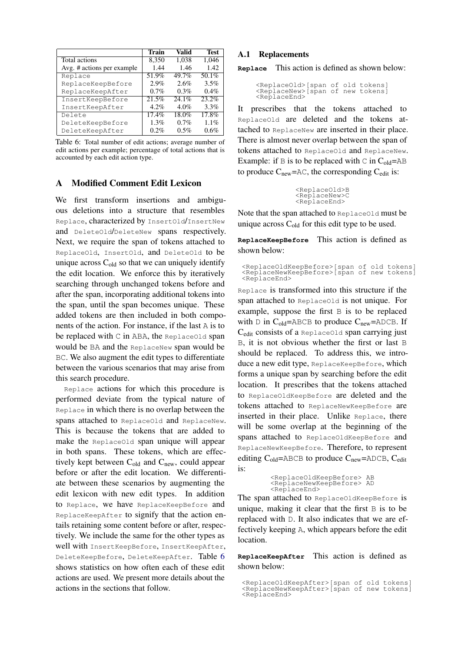<span id="page-11-1"></span>

|                            | <b>Train</b> | Valid   | <b>Test</b>         |
|----------------------------|--------------|---------|---------------------|
| Total actions              | 8,350        | 1,038   | 1,046               |
| Avg. # actions per example | 1.44         | 1.46    | 1.42                |
| Replace                    | 51.9%        | 49.7%   | 50.1%               |
| ReplaceKeepBefore          | 2.9%         | 2.6%    | 3.5%                |
| ReplaceKeepAfter           | 0.7%         | 0.3%    | 0.4%                |
| InsertKeepBefore           | 21.5%        | 24.1%   | $23.\overline{2\%}$ |
| InsertKeepAfter            | 4.2%         | 4.0%    | 3.3%                |
| Delete                     | $17.4\%$     | 18.0%   | 17.8%               |
| DeleteKeepBefore           | 1.3%         | 0.7%    | 1.1%                |
| DeleteKeepAfter            | $0.2\%$      | $0.5\%$ | 0.6%                |

Table 6: Total number of edit actions; average number of edit actions per example; percentage of total actions that is accounted by each edit action type.

# <span id="page-11-0"></span>A Modified Comment Edit Lexicon

We first transform insertions and ambiguous deletions into a structure that resembles Replace, characterized by InsertOld/InsertNew and DeleteOld/DeleteNew spans respectively. Next, we require the span of tokens attached to ReplaceOld, InsertOld, and DeleteOld to be unique across  $C_{old}$  so that we can uniquely identify the edit location. We enforce this by iteratively searching through unchanged tokens before and after the span, incorporating additional tokens into the span, until the span becomes unique. These added tokens are then included in both components of the action. For instance, if the last A is to be replaced with C in ABA, the ReplaceOld span would be BA and the ReplaceNew span would be BC. We also augment the edit types to differentiate between the various scenarios that may arise from this search procedure.

Replace actions for which this procedure is performed deviate from the typical nature of Replace in which there is no overlap between the spans attached to ReplaceOld and ReplaceNew. This is because the tokens that are added to make the ReplaceOld span unique will appear in both spans. These tokens, which are effectively kept between  $C_{old}$  and  $C_{new}$ , could appear before or after the edit location. We differentiate between these scenarios by augmenting the edit lexicon with new edit types. In addition to Replace, we have ReplaceKeepBefore and ReplaceKeepAfter to signify that the action entails retaining some content before or after, respectively. We include the same for the other types as well with InsertKeepBefore, InsertKeepAfter, DeleteKeepBefore, DeleteKeepAfter. Table [6](#page-11-1) shows statistics on how often each of these edit actions are used. We present more details about the actions in the sections that follow.

#### A.1 Replacements

**Replace** This action is defined as shown below:

```
<ReplaceOld>[span of old tokens]
<ReplaceNew>[span of new tokens]
<ReplaceEnd>
```
It prescribes that the tokens attached to ReplaceOld are deleted and the tokens attached to ReplaceNew are inserted in their place. There is almost never overlap between the span of tokens attached to ReplaceOld and ReplaceNew. Example: if B is to be replaced with C in  $C_{old}$ =AB to produce  $C_{\text{new}}$ =AC, the corresponding  $C_{\text{edit}}$  is:

> <ReplaceOld>B <ReplaceNew>C <ReplaceEnd>

Note that the span attached to ReplaceOld must be unique across  $C_{old}$  for this edit type to be used.

**ReplaceKeepBefore** This action is defined as shown below:

<ReplaceOldKeepBefore>[span of old tokens] <ReplaceNewKeepBefore>[span of new tokens] <ReplaceEnd>

Replace is transformed into this structure if the span attached to ReplaceOld is not unique. For example, suppose the first B is to be replaced with D in  $C_{old}$ =ABCB to produce  $C_{new}$ =ADCB. If Cedit consists of a ReplaceOld span carrying just B, it is not obvious whether the first or last B should be replaced. To address this, we introduce a new edit type, ReplaceKeepBefore, which forms a unique span by searching before the edit location. It prescribes that the tokens attached to ReplaceOldKeepBefore are deleted and the tokens attached to ReplaceNewKeepBefore are inserted in their place. Unlike Replace, there will be some overlap at the beginning of the spans attached to ReplaceOldKeepBefore and ReplaceNewKeepBefore. Therefore, to represent editing  $C_{old}$ =ABCB to produce  $C_{new}$ =ADCB,  $C_{edit}$ is:

```
<ReplaceOldKeepBefore> AB
<ReplaceNewKeepBefore> AD
<ReplaceEnd>
```
The span attached to ReplaceOldKeepBefore is unique, making it clear that the first  $\overline{B}$  is to be replaced with D. It also indicates that we are effectively keeping A, which appears before the edit location.

**ReplaceKeepAfter** This action is defined as shown below:

<sup>&</sup>lt;ReplaceOldKeepAfter>[span of old tokens] <ReplaceNewKeepAfter>[span of new tokens] <ReplaceEnd>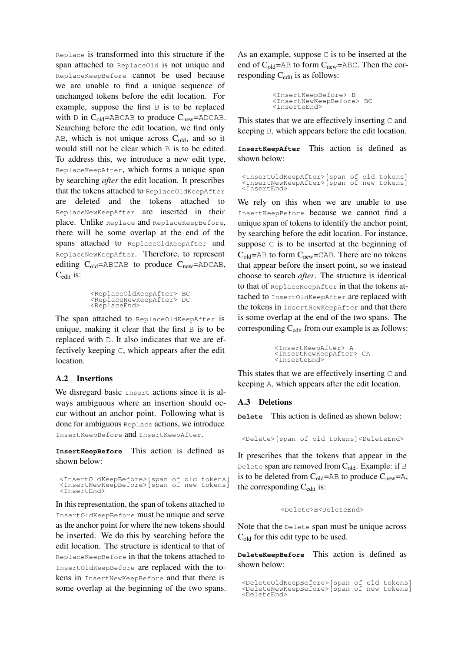Replace is transformed into this structure if the span attached to ReplaceOld is not unique and ReplaceKeepBefore cannot be used because we are unable to find a unique sequence of unchanged tokens before the edit location. For example, suppose the first B is to be replaced with  $D$  in  $C_{old}$ =ABCAB to produce  $C_{new}$ =ADCAB. Searching before the edit location, we find only AB, which is not unique across  $C_{old}$ , and so it would still not be clear which B is to be edited. To address this, we introduce a new edit type, ReplaceKeepAfter, which forms a unique span by searching *after* the edit location. It prescribes that the tokens attached to ReplaceOldKeepAfter are deleted and the tokens attached to ReplaceNewKeepAfter are inserted in their place. Unlike Replace and ReplaceKeepBefore, there will be some overlap at the end of the spans attached to ReplaceOldKeepAfter and ReplaceNewKeepAfter. Therefore, to represent editing  $C_{old}$ =ABCAB to produce  $C_{new}$ =ADCAB, Cedit is:

```
<ReplaceOldKeepAfter> BC
<ReplaceNewKeepAfter> DC
<ReplaceEnd>
```
The span attached to ReplaceOldKeepAfter is unique, making it clear that the first B is to be replaced with D. It also indicates that we are effectively keeping C, which appears after the edit location.

# A.2 Insertions

We disregard basic Insert actions since it is always ambiguous where an insertion should occur without an anchor point. Following what is done for ambiguous Replace actions, we introduce InsertKeepBefore and InsertKeepAfter.

**InsertKeepBefore** This action is defined as shown below:

<InsertOldKeepBefore>[span of old tokens] <InsertNewKeepBefore>[span of new tokens] <InsertEnd>

In this representation, the span of tokens attached to InsertOldKeepBefore must be unique and serve as the anchor point for where the new tokens should be inserted. We do this by searching before the edit location. The structure is identical to that of ReplaceKeepBefore in that the tokens attached to InsertOldKeepBefore are replaced with the tokens in InsertNewKeepBefore and that there is some overlap at the beginning of the two spans. As an example, suppose C is to be inserted at the end of  $C_{old}$ =AB to form  $C_{new}$ =ABC. Then the corresponding  $C_{\text{edit}}$  is as follows:

```
<InsertKeepBefore> B
<InsertNewKeepBefore> BC
<InserteEnd>
```
This states that we are effectively inserting C and keeping B, which appears before the edit location.

**InsertKeepAfter** This action is defined as shown below:

```
<InsertOldKeepAfter>[span of old tokens]
<InsertNewKeepAfter>[span of new tokens]
<InsertEnd>
```
We rely on this when we are unable to use InsertKeepBefore because we cannot find a unique span of tokens to identify the anchor point, by searching before the edit location. For instance, suppose C is to be inserted at the beginning of  $C_{old}$ =AB to form  $C_{new}$ =CAB. There are no tokens that appear before the insert point, so we instead choose to search *after*. The structure is identical to that of ReplaceKeepAfter in that the tokens attached to InsertOldKeepAfter are replaced with the tokens in InsertNewKeepAfter and that there is some overlap at the end of the two spans. The corresponding Cedit from our example is as follows:

```
<InsertKeepAfter> A
<InsertNewKeepAfter> CA
<InserteEnd>
```
This states that we are effectively inserting C and keeping A, which appears after the edit location.

#### A.3 Deletions

**Delete** This action is defined as shown below:

<Delete>[span of old tokens]<DeleteEnd>

It prescribes that the tokens that appear in the Delete span are removed from  $C_{old}$ . Example: if B is to be deleted from  $C_{old}$ =AB to produce  $C_{new}$ =A, the corresponding  $C_{\text{edit}}$  is:

<Delete>B<DeleteEnd>

Note that the Delete span must be unique across C<sub>old</sub> for this edit type to be used.

**DeleteKeepBefore** This action is defined as shown below:

<sup>&</sup>lt;DeleteOldKeepBefore>[span of old tokens] <DeleteNewKeepBefore>[span of new tokens] <DeleteEnd>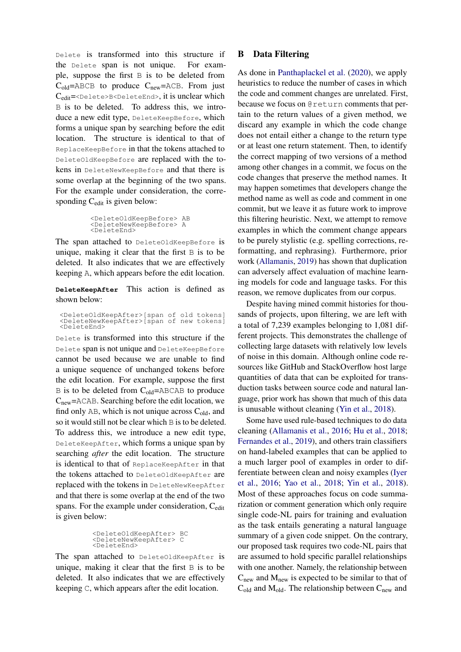Delete is transformed into this structure if the Delete span is not unique. For example, suppose the first B is to be deleted from  $C_{old}$ =ABCB to produce  $C_{new}$ =ACB. From just Cedit=<Delete>B<DeleteEnd>, it is unclear which B is to be deleted. To address this, we introduce a new edit type, DeleteKeepBefore, which forms a unique span by searching before the edit location. The structure is identical to that of ReplaceKeepBefore in that the tokens attached to DeleteOldKeepBefore are replaced with the tokens in DeleteNewKeepBefore and that there is some overlap at the beginning of the two spans. For the example under consideration, the corresponding C<sub>edit</sub> is given below:

```
<DeleteOldKeepBefore> AB
<DeleteNewKeepBefore> A
<DeleteEnd>
```
The span attached to DeleteOldKeepBefore is unique, making it clear that the first B is to be deleted. It also indicates that we are effectively keeping A, which appears before the edit location.

**DeleteKeepAfter** This action is defined as shown below:

<DeleteOldKeepAfter>[span of old tokens] <DeleteNewKeepAfter>[span of new tokens] <DeleteEnd>

Delete is transformed into this structure if the Delete span is not unique and DeleteKeepBefore cannot be used because we are unable to find a unique sequence of unchanged tokens before the edit location. For example, suppose the first  $B$  is to be deleted from  $C_{old}$ =ABCAB to produce Cnew=ACAB. Searching before the edit location, we find only  $AB$ , which is not unique across  $C_{old}$ , and so it would still not be clear which B is to be deleted. To address this, we introduce a new edit type, DeleteKeepAfter, which forms a unique span by searching *after* the edit location. The structure is identical to that of ReplaceKeepAfter in that the tokens attached to DeleteOldKeepAfter are replaced with the tokens in DeleteNewKeepAfter and that there is some overlap at the end of the two spans. For the example under consideration, C<sub>edit</sub> is given below:

```
<DeleteOldKeepAfter> BC
<DeleteNewKeepAfter> C
<DeleteEnd>
```
The span attached to DeleteOldKeepAfter is unique, making it clear that the first B is to be deleted. It also indicates that we are effectively keeping C, which appears after the edit location.

## <span id="page-13-0"></span>B Data Filtering

As done in [Panthaplackel et al.](#page-10-2) [\(2020\)](#page-10-2), we apply heuristics to reduce the number of cases in which the code and comment changes are unrelated. First, because we focus on @return comments that pertain to the return values of a given method, we discard any example in which the code change does not entail either a change to the return type or at least one return statement. Then, to identify the correct mapping of two versions of a method among other changes in a commit, we focus on the code changes that preserve the method names. It may happen sometimes that developers change the method name as well as code and comment in one commit, but we leave it as future work to improve this filtering heuristic. Next, we attempt to remove examples in which the comment change appears to be purely stylistic (e.g. spelling corrections, reformatting, and rephrasing). Furthermore, prior work [\(Allamanis,](#page-9-21) [2019\)](#page-9-21) has shown that duplication can adversely affect evaluation of machine learning models for code and language tasks. For this reason, we remove duplicates from our corpus.

Despite having mined commit histories for thousands of projects, upon filtering, we are left with a total of 7,239 examples belonging to 1,081 different projects. This demonstrates the challenge of collecting large datasets with relatively low levels of noise in this domain. Although online code resources like GitHub and StackOverflow host large quantities of data that can be exploited for transduction tasks between source code and natural language, prior work has shown that much of this data is unusable without cleaning [\(Yin et al.,](#page-10-19) [2018\)](#page-10-19).

Some have used rule-based techniques to do data cleaning [\(Allamanis et al.,](#page-9-11) [2016;](#page-9-11) [Hu et al.,](#page-9-0) [2018;](#page-9-0) [Fernandes et al.,](#page-9-2) [2019\)](#page-9-2), and others train classifiers on hand-labeled examples that can be applied to a much larger pool of examples in order to differentiate between clean and noisy examples [\(Iyer](#page-9-13) [et al.,](#page-9-13) [2016;](#page-9-13) [Yao et al.,](#page-10-20) [2018;](#page-10-20) [Yin et al.,](#page-10-19) [2018\)](#page-10-19). Most of these approaches focus on code summarization or comment generation which only require single code-NL pairs for training and evaluation as the task entails generating a natural language summary of a given code snippet. On the contrary, our proposed task requires two code-NL pairs that are assumed to hold specific parallel relationships with one another. Namely, the relationship between  $C<sub>new</sub>$  and  $M<sub>new</sub>$  is expected to be similar to that of  $C_{old}$  and  $M_{old}$ . The relationship between  $C_{new}$  and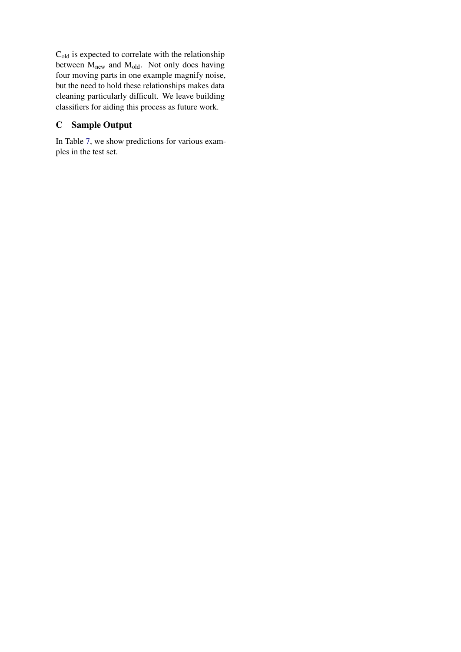Cold is expected to correlate with the relationship between  $M_{\text{new}}$  and  $M_{\text{old}}$ . Not only does having four moving parts in one example magnify noise, but the need to hold these relationships makes data cleaning particularly difficult. We leave building classifiers for aiding this process as future work.

# <span id="page-14-0"></span>C Sample Output

In Table [7,](#page-15-0) we show predictions for various examples in the test set.